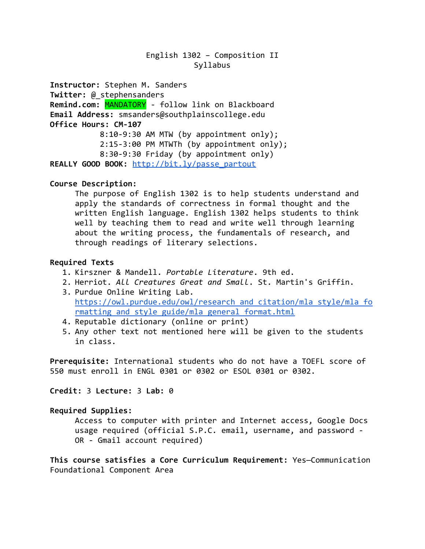# English 1302 – Composition II Syllabus

**Instructor:** Stephen M. Sanders **Twitter:** @\_stephensanders **Remind.com:** MANDATORY - follow link on Blackboard **Email Address:** [smsanders@southplainscollege.edu](mailto:smsanders@southplainscollege.edu) **Office Hours: CM-107** 8:10-9:30 AM MTW (by appointment only); 2:15-3:00 PM MTWTh (by appointment only); 8:30-9:30 Friday (by appointment only) **REALLY GOOD BOOK:** [http://bit.ly/passe\\_partout](http://bit.ly/passe_partout)

#### **Course Description:**

The purpose of English 1302 is to help students understand and apply the standards of correctness in formal thought and the written English language. English 1302 helps students to think well by teaching them to read and write well through learning about the writing process, the fundamentals of research, and through readings of literary selections.

#### **Required Texts**

- 1. Kirszner & Mandell. *Portable Literature*. 9th ed.
- 2. Herriot. *All Creatures Great and Small*. St. Martin's Griffin.
- 3. Purdue Online Writing Lab. https://owl.purdue.edu/owl/research and citation/mla\_style/mla\_fo [rmatting\\_and\\_style\\_guide/mla\\_general\\_format.html](https://owl.purdue.edu/owl/research_and_citation/mla_style/mla_formatting_and_style_guide/mla_general_format.html)
- 4. Reputable dictionary (online or print)
- 5. Any other text not mentioned here will be given to the students in class.

**Prerequisite:** International students who do not have a TOEFL score of 550 must enroll in ENGL 0301 or 0302 or ESOL 0301 or 0302.

**Credit:** 3 **Lecture:** 3 **Lab:** 0

## **Required Supplies:**

Access to computer with printer and Internet access, Google Docs usage required (official S.P.C. email, username, and password - OR - Gmail account required)

**This course satisfies a Core Curriculum Requirement:** Yes—Communication Foundational Component Area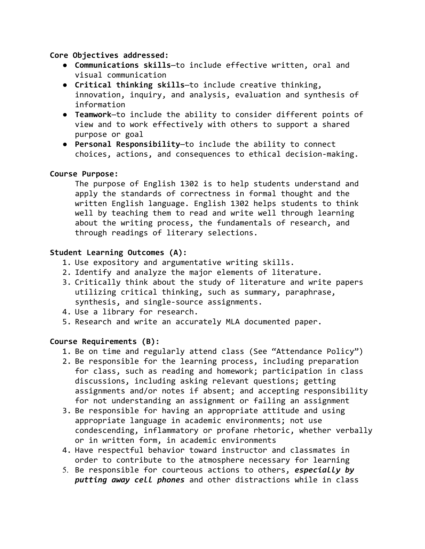**Core Objectives addressed:**

- **Communications skills**—to include effective written, oral and visual communication
- **Critical thinking skills**—to include creative thinking, innovation, inquiry, and analysis, evaluation and synthesis of information
- **Teamwork**—to include the ability to consider different points of view and to work effectively with others to support a shared purpose or goal
- **Personal Responsibility**—to include the ability to connect choices, actions, and consequences to ethical decision-making.

# **Course Purpose:**

The purpose of English 1302 is to help students understand and apply the standards of correctness in formal thought and the written English language. English 1302 helps students to think well by teaching them to read and write well through learning about the writing process, the fundamentals of research, and through readings of literary selections.

# **Student Learning Outcomes (A):**

- 1. Use expository and argumentative writing skills.
- 2. Identify and analyze the major elements of literature.
- 3. Critically think about the study of literature and write papers utilizing critical thinking, such as summary, paraphrase, synthesis, and single-source assignments.
- 4. Use a library for research.
- 5. Research and write an accurately MLA documented paper.

## **Course Requirements (B):**

- 1. Be on time and regularly attend class (See "Attendance Policy")
- 2. Be responsible for the learning process, including preparation for class, such as reading and homework; participation in class discussions, including asking relevant questions; getting assignments and/or notes if absent; and accepting responsibility for not understanding an assignment or failing an assignment
- 3. Be responsible for having an appropriate attitude and using appropriate language in academic environments; not use condescending, inflammatory or profane rhetoric, whether verbally or in written form, in academic environments
- 4. Have respectful behavior toward instructor and classmates in order to contribute to the atmosphere necessary for learning
- 5. Be responsible for courteous actions to others, *especially by putting away cell phones* and other distractions while in class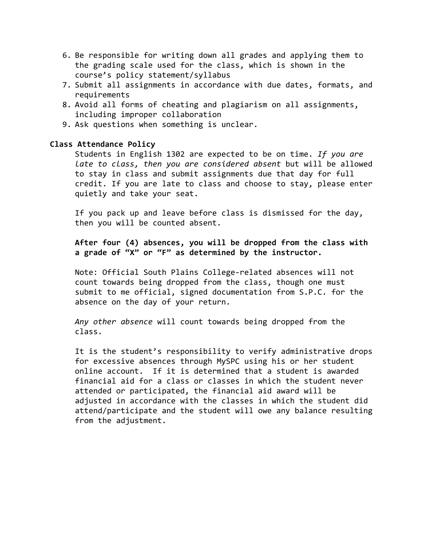- 6. Be responsible for writing down all grades and applying them to the grading scale used for the class, which is shown in the course's policy statement/syllabus
- 7. Submit all assignments in accordance with due dates, formats, and requirements
- 8. Avoid all forms of cheating and plagiarism on all assignments, including improper collaboration
- 9. Ask questions when something is unclear.

#### **Class Attendance Policy**

Students in English 1302 are expected to be on time. *If you are late to class, then you are considered absent* but will be allowed to stay in class and submit assignments due that day for full credit. If you are late to class and choose to stay, please enter quietly and take your seat.

If you pack up and leave before class is dismissed for the day, then you will be counted absent.

**After four (4) absences, you will be dropped from the class with a grade of "X" or "F" as determined by the instructor.**

Note: Official South Plains College-related absences will not count towards being dropped from the class, though one must submit to me official, signed documentation from S.P.C. for the absence on the day of your return.

*Any other absence* will count towards being dropped from the class.

It is the student's responsibility to verify administrative drops for excessive absences through MySPC using his or her student online account. If it is determined that a student is awarded financial aid for a class or classes in which the student never attended or participated, the financial aid award will be adjusted in accordance with the classes in which the student did attend/participate and the student will owe any balance resulting from the adjustment.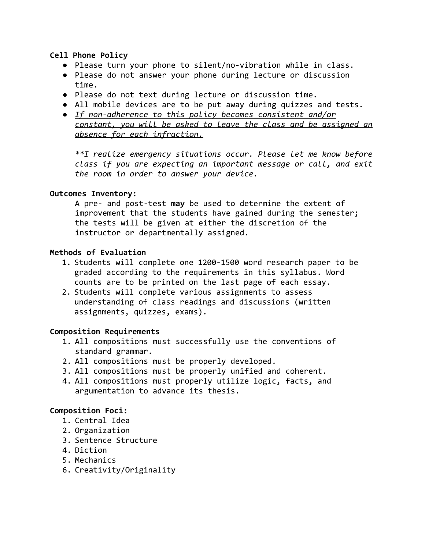## **Cell Phone Policy**

- Please turn your phone to silent/no-vibration while in class.
- Please do not answer your phone during lecture or discussion time.
- Please do not text during lecture or discussion time.
- All mobile devices are to be put away during quizzes and tests.
- *● If non-adherence to this policy becomes consistent and/or constant, you will be asked to leave the class and be assigned an absence for each infraction.*

*\*\*I realize emergency situations occur. Please let me know before class if you are expecting an important message or call, and exit the room in order to answer your device.*

## **Outcomes Inventory:**

A pre- and post-test **may** be used to determine the extent of improvement that the students have gained during the semester; the tests will be given at either the discretion of the instructor or departmentally assigned.

## **Methods of Evaluation**

- 1. Students will complete one 1200-1500 word research paper to be graded according to the requirements in this syllabus. Word counts are to be printed on the last page of each essay.
- 2. Students will complete various assignments to assess understanding of class readings and discussions (written assignments, quizzes, exams).

## **Composition Requirements**

- 1. All compositions must successfully use the conventions of standard grammar.
- 2. All compositions must be properly developed.
- 3. All compositions must be properly unified and coherent.
- 4. All compositions must properly utilize logic, facts, and argumentation to advance its thesis.

## **Composition Foci:**

- 1. Central Idea
- 2. Organization
- 3. Sentence Structure
- 4. Diction
- 5. Mechanics
- 6. Creativity/Originality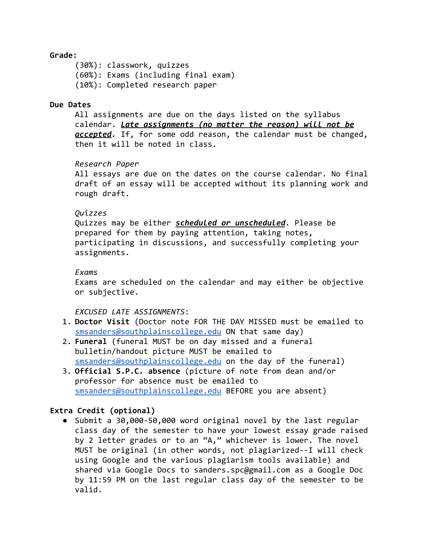#### **Grade:**

(30%): classwork, quizzes (60%): Exams (including final exam) (10%): Completed research paper

#### **Due Dates**

All assignments are due on the days listed on the syllabus calendar. *Late assignments (no matter the reason) will not be accepted.* If, for some odd reason, the calendar must be changed, then it will be noted in class.

*Research Paper*

All essays are due on the dates on the course calendar. No final draft of an essay will be accepted without its planning work and rough draft.

## *Quizzes*

Quizzes may be either *scheduled or unscheduled.* Please be prepared for them by paying attention, taking notes, participating in discussions, and successfully completing your assignments.

#### *Exams*

Exams are scheduled on the calendar and may either be objective or subjective.

## *EXCUSED LATE ASSIGNMENTS*:

- 1. **Doctor Visit** (Doctor note FOR THE DAY MISSED must be emailed to [smsanders@southplainscollege.edu](mailto:smsanders@southplainscollege.edu) ON that same day)
- 2. **Funeral** (funeral MUST be on day missed and a funeral bulletin/handout picture MUST be emailed to [smsanders@southplainscollege.edu](mailto:smsanders@southplainscollege.edu) on the day of the funeral)
- 3. **Official S.P.C. absence** (picture of note from dean and/or professor for absence must be emailed to [smsanders@southplainscollege.edu](mailto:smsanders@southplainscollege.edu) BEFORE you are absent)

## **Extra Credit (optional)**

● Submit a 30,000-50,000 word original novel by the last regular class day of the semester to have your lowest essay grade raised by 2 letter grades or to an "A," whichever is lower. The novel MUST be original (in other words, not plagiarized--I will check using Google and the various plagiarism tools available) and shared via Google Docs to sanders.spc@gmail.com as a Google Doc by 11:59 PM on the last regular class day of the semester to be valid.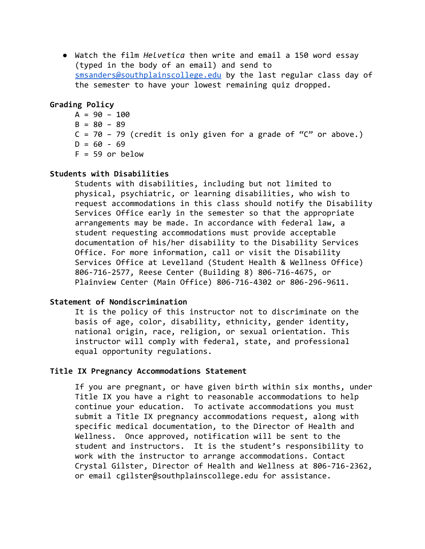● Watch the film *Helvetica* then write and email a 150 word essay (typed in the body of an email) and send to [smsanders@southplainscollege.edu](mailto:smsanders@southplainscollege.edu) by the last regular class day of the semester to have your lowest remaining quiz dropped.

#### **Grading Policy**

 $A = 90 - 100$  $B = 80 - 89$  $C = 70 - 79$  (credit is only given for a grade of " $C$ " or above.)  $D = 60 - 69$  $F = 59$  or below

#### **Students with Disabilities**

Students with disabilities, including but not limited to physical, psychiatric, or learning disabilities, who wish to request accommodations in this class should notify the Disability Services Office early in the semester so that the appropriate arrangements may be made. In accordance with federal law, a student requesting accommodations must provide acceptable documentation of his/her disability to the Disability Services Office. For more information, call or visit the Disability Services Office at Levelland (Student Health & Wellness Office) 806-716-2577, Reese Center (Building 8) 806-716-4675, or Plainview Center (Main Office) 806-716-4302 or 806-296-9611.

#### **Statement of Nondiscrimination**

It is the policy of this instructor not to discriminate on the basis of age, color, disability, ethnicity, gender identity, national origin, race, religion, or sexual orientation. This instructor will comply with federal, state, and professional equal opportunity regulations.

#### **Title IX Pregnancy Accommodations Statement**

If you are pregnant, or have given birth within six months, under Title IX you have a right to reasonable accommodations to help continue your education. To activate accommodations you must submit a Title IX pregnancy accommodations request, along with specific medical documentation, to the Director of Health and Wellness. Once approved, notification will be sent to the student and instructors. It is the student's responsibility to work with the instructor to arrange accommodations. Contact Crystal Gilster, Director of Health and Wellness at 806-716-2362, or email cgilster@southplainscollege.edu for assistance.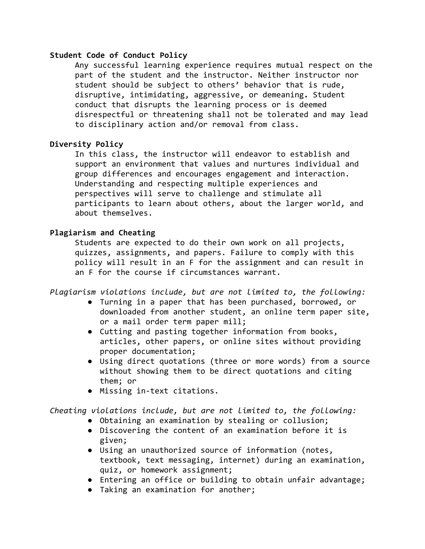#### **Student Code of Conduct Policy**

Any successful learning experience requires mutual respect on the part of the student and the instructor. Neither instructor nor student should be subject to others' behavior that is rude, disruptive, intimidating, aggressive, or demeaning**.** Student conduct that disrupts the learning process or is deemed disrespectful or threatening shall not be tolerated and may lead to disciplinary action and/or removal from class.

# **Diversity Policy**

In this class, the instructor will endeavor to establish and support an environment that values and nurtures individual and group differences and encourages engagement and interaction. Understanding and respecting multiple experiences and perspectives will serve to challenge and stimulate all participants to learn about others, about the larger world, and about themselves.

## **Plagiarism and Cheating**

Students are expected to do their own work on all projects, quizzes, assignments, and papers. Failure to comply with this policy will result in an F for the assignment and can result in an F for the course if circumstances warrant.

*Plagiarism violations include, but are not limited to, the following:*

- Turning in a paper that has been purchased, borrowed, or downloaded from another student, an online term paper site, or a mail order term paper mill;
- Cutting and pasting together information from books, articles, other papers, or online sites without providing proper documentation;
- Using direct quotations (three or more words) from a source without showing them to be direct quotations and citing them; or
- Missing in-text citations.

*Cheating violations include, but are not limited to, the following:*

- Obtaining an examination by stealing or collusion;
- Discovering the content of an examination before it is given;
- Using an unauthorized source of information (notes, textbook, text messaging, internet) during an examination, quiz, or homework assignment;
- Entering an office or building to obtain unfair advantage;
- Taking an examination for another;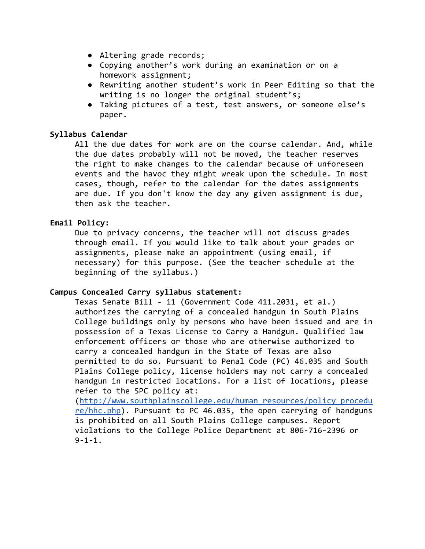- Altering grade records;
- Copying another's work during an examination or on a homework assignment;
- Rewriting another student's work in Peer Editing so that the writing is no longer the original student's;
- Taking pictures of a test, test answers, or someone else's paper.

## **Syllabus Calendar**

All the due dates for work are on the course calendar. And, while the due dates probably will not be moved, the teacher reserves the right to make changes to the calendar because of unforeseen events and the havoc they might wreak upon the schedule. In most cases, though, refer to the calendar for the dates assignments are due. If you don't know the day any given assignment is due, then ask the teacher.

## **Email Policy:**

Due to privacy concerns, the teacher will not discuss grades through email. If you would like to talk about your grades or assignments, please make an appointment (using email, if necessary) for this purpose. (See the teacher schedule at the beginning of the syllabus.)

## **Campus Concealed Carry syllabus statement:**

Texas Senate Bill - 11 (Government Code 411.2031, et al.) authorizes the carrying of a concealed handgun in South Plains College buildings only by persons who have been issued and are in possession of a Texas License to Carry a Handgun. Qualified law enforcement officers or those who are otherwise authorized to carry a concealed handgun in the State of Texas are also permitted to do so. Pursuant to Penal Code (PC) 46.035 and South Plains College policy, license holders may not carry a concealed handgun in restricted locations. For a list of locations, please refer to the SPC policy at:

([http://www.southplainscollege.edu/human\\_resources/policy\\_procedu](http://www.southplainscollege.edu/human_resources/policy_procedure/hhc.php) [re/hhc.php\)](http://www.southplainscollege.edu/human_resources/policy_procedure/hhc.php). Pursuant to PC 46.035, the open carrying of handguns is prohibited on all South Plains College campuses. Report violations to the College Police Department at 806-716-2396 or  $9 - 1 - 1$ .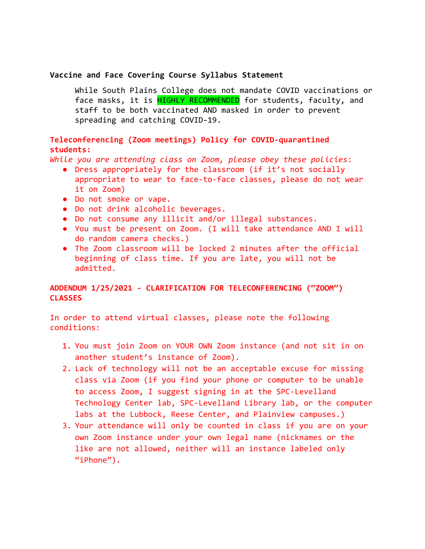#### **Vaccine and Face Covering Course Syllabus Statement**

While South Plains College does not mandate COVID vaccinations or face masks, it is **HIGHLY RECOMMENDED** for students, faculty, and staff to be both vaccinated AND masked in order to prevent spreading and catching COVID-19.

# **Teleconferencing (Zoom meetings) Policy for COVID-quarantined students:**

*While you are attending class on Zoom, please obey these policies*:

- Dress appropriately for the classroom (if it's not socially appropriate to wear to face-to-face classes, please do not wear it on Zoom)
- Do not smoke or vape.
- Do not drink alcoholic beverages.
- Do not consume any illicit and/or illegal substances.
- You must be present on Zoom. (I will take attendance AND I will do random camera checks.)
- The Zoom classroom will be locked 2 minutes after the official beginning of class time. If you are late, you will not be admitted.

# **ADDENDUM 1/25/2021 - CLARIFICATION FOR TELECONFERENCING ("ZOOM") CLASSES**

In order to attend virtual classes, please note the following conditions:

- 1. You must join Zoom on YOUR OWN Zoom instance (and not sit in on another student's instance of Zoom).
- 2. Lack of technology will not be an acceptable excuse for missing class via Zoom (if you find your phone or computer to be unable to access Zoom, I suggest signing in at the SPC-Levelland Technology Center lab, SPC-Levelland Library lab, or the computer labs at the Lubbock, Reese Center, and Plainview campuses.)
- 3. Your attendance will only be counted in class if you are on your own Zoom instance under your own legal name (nicknames or the like are not allowed, neither will an instance labeled only "iPhone").